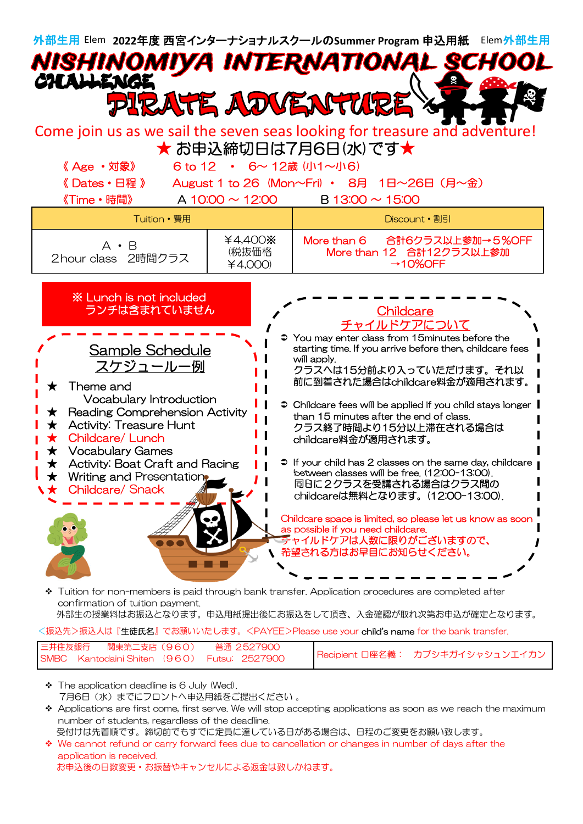

confirmation of tuition payment.

外部生の授業料はお振込となります。申込用紙提出後にお振込をして頂き、入金確認が取れ次第お申込が確定となります。

<振込先>振込人は『生徒氏名』でお願いいたします。<PAYEE>Please use your child**'**s name for the bank transfer.

| 三井住友銀行 関東第二支店(960)                          | 普通 2527900 |                                 |
|---------------------------------------------|------------|---------------------------------|
| SMBC Kantodaini Shiten (960) Futsu: 2527900 |            | Recipient 口座名義: カブシキガイシャシュンエイカン |

- \* The application deadline is 6 July (Wed). 7月6日 (水) までにフロントへ申込用紙をご提出ください 。
- $\bullet$  Applications are first come, first serve. We will stop accepting applications as soon as we reach the maximum number of students, regardless of the deadline.
	- 受付けは先着順です。締切前でもすでに定員に達している日がある場合は、日程のご変更をお願い致します。
- We cannot refund or carry forward fees due to cancellation or changes in number of days after the application is received. お申込後の日数変更・お振替やキャンセルによる返金は致しかねます。